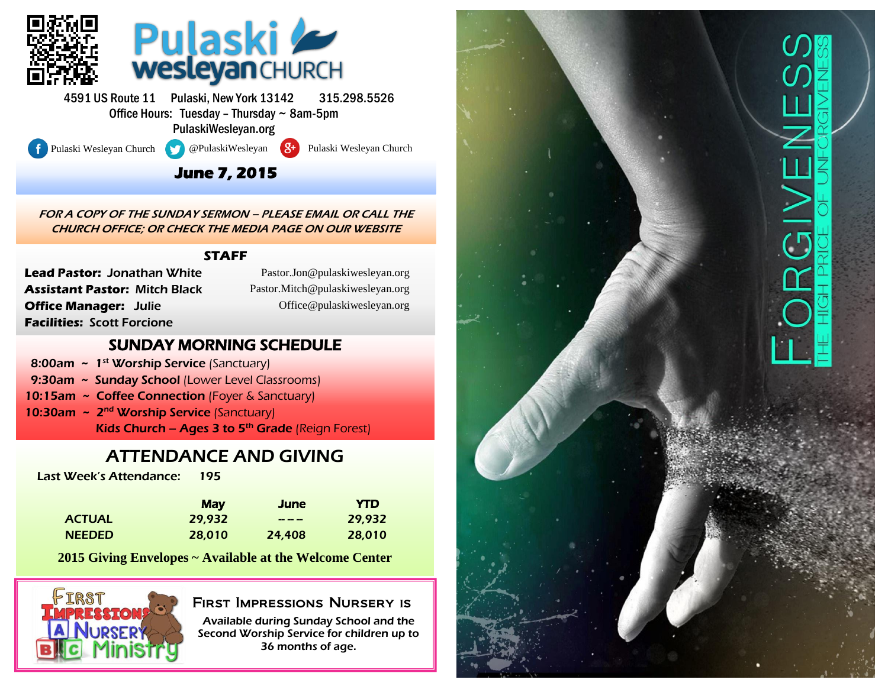

4591 US Route 11 Pulaski, New York 13142 315.298.5526 Office Hours: Tuesday – Thursday ~ 8am-5pm PulaskiWesleyan.org

l

Pulaski Wesleyan Church **@PulaskiWesleyan 8+** Pulaski Wesleyan Church

#### **June 7, 2015**

FOR A COPY OF THE SUNDAY SERMON – PLEASE EMAIL OR CALL THE CHURCH OFFICE; OR CHECK THE MEDIA PAGE ON OUR WEBSITE

#### **STAFF**

**Lead Pastor:** Jonathan White **Assistant Pastor:** Mitch Black **Office Manager:** Julie **Facilities:** Scott Forcione

(Pastor.Jon@pulaskiwesleyan.org) Pastor.Jon@pulaskiwesleyan.org (Pastor.Mitch@pulaskiwesleyan.org) Pastor.Mitch@pulaskiwesleyan.org (Office@pulaskiwesleyan.org) Office@pulaskiwesleyan.org

#### SUNDAY MORNING SCHEDULE

- 8:00am  $\sim 1^{st}$  Worship Service (Sanctuary)
- 9:30am ~ Sunday School (Lower Level Classrooms)
- 10:15am ~ Coffee Connection (Foyer & Sanctuary)
- 10:30am ~ 2<sup>nd</sup> Worship Service (Sanctuary) Kids Church – Ages 3 to  $5<sup>th</sup>$  Grade (Reign Forest)

## ATTENDANCE AND GIVING

Last Week's Attendance: 195

|               | <b>May</b> | <b>June</b>   | <b>YTD</b> |
|---------------|------------|---------------|------------|
| <b>ACTUAL</b> | 29.932     | $\frac{1}{2}$ | 29.932     |
| <b>NEEDED</b> | 28,010     | 24,408        | 28,010     |

**2015 Giving Envelopes ~ Available at the Welcome Center**



#### First Impressions Nursery is

Available during Sunday School and the Second Worship Service for children up to 36 months of age.